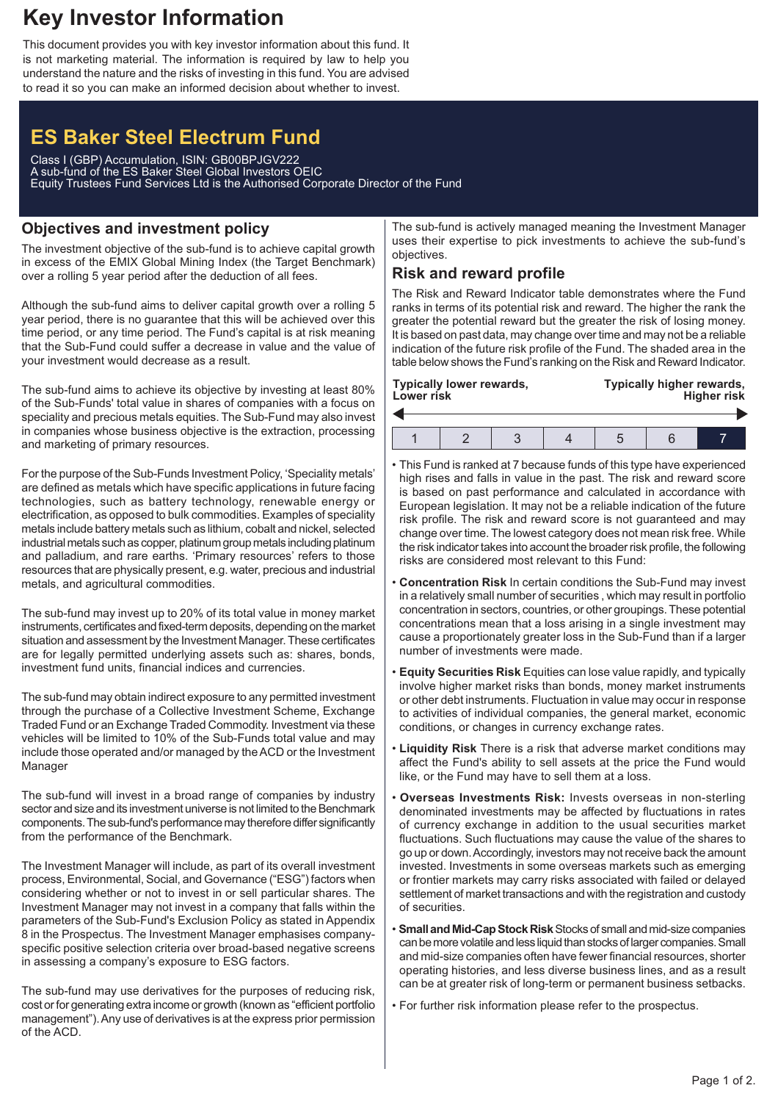## **Key Investor Information**

This document provides you with key investor information about this fund. It is not marketing material. The information is required by law to help you understand the nature and the risks of investing in this fund. You are advised to read it so you can make an informed decision about whether to invest.

# **ES Baker Steel Electrum Fund**

Class I (GBP) Accumulation, ISIN: GB00BPJGV222 A sub-fund of the ES Baker Steel Global Investors OEIC Equity Trustees Fund Services Ltd is the Authorised Corporate Director of the Fund

## **Objectives and investment policy**

The investment objective of the sub-fund is to achieve capital growth in excess of the EMIX Global Mining Index (the Target Benchmark) over a rolling 5 year period after the deduction of all fees.

Although the sub-fund aims to deliver capital growth over a rolling 5 year period, there is no guarantee that this will be achieved over this time period, or any time period. The Fund's capital is at risk meaning that the Sub-Fund could suffer a decrease in value and the value of your investment would decrease as a result.

The sub-fund aims to achieve its objective by investing at least 80% of the Sub-Funds' total value in shares of companies with a focus on speciality and precious metals equities. The Sub-Fund may also invest in companies whose business objective is the extraction, processing and marketing of primary resources.

For the purpose of the Sub-Funds Investment Policy, 'Speciality metals' are defined as metals which have specific applications in future facing technologies, such as battery technology, renewable energy or electrification, as opposed to bulk commodities. Examples of speciality metals include battery metals such as lithium, cobalt and nickel, selected industrial metals such as copper, platinum group metals including platinum and palladium, and rare earths. 'Primary resources' refers to those resources that are physically present, e.g. water, precious and industrial metals, and agricultural commodities.

The sub-fund may invest up to 20% of its total value in money market instruments, certificates and fixed-term deposits, depending on the market situation and assessment by the Investment Manager. These certificates are for legally permitted underlying assets such as: shares, bonds, investment fund units, financial indices and currencies.

The sub-fund may obtain indirect exposure to any permitted investment through the purchase of a Collective Investment Scheme, Exchange Traded Fund or an Exchange Traded Commodity. Investment via these vehicles will be limited to 10% of the Sub-Funds total value and may include those operated and/or managed by the ACD or the Investment Manager

The sub-fund will invest in a broad range of companies by industry sector and size and its investment universe is not limited to the Benchmark components. The sub-fund's performance may therefore differ significantly from the performance of the Benchmark.

The Investment Manager will include, as part of its overall investment process, Environmental, Social, and Governance ("ESG") factors when considering whether or not to invest in or sell particular shares. The Investment Manager may not invest in a company that falls within the parameters of the Sub-Fund's Exclusion Policy as stated in Appendix 8 in the Prospectus. The Investment Manager emphasises companyspecific positive selection criteria over broad-based negative screens in assessing a company's exposure to ESG factors.

The sub-fund may use derivatives for the purposes of reducing risk, cost or for generating extra income or growth (known as "efficient portfolio management").Any use of derivatives is at the express prior permission of the ACD.

The sub-fund is actively managed meaning the Investment Manager uses their expertise to pick investments to achieve the sub-fund's objectives.

## **Risk and reward profile**

The Risk and Reward Indicator table demonstrates where the Fund ranks in terms of its potential risk and reward. The higher the rank the greater the potential reward but the greater the risk of losing money. It is based on past data, may change over time and may not be a reliable indication of the future risk profile of the Fund. The shaded area in the table below shows the Fund's ranking on the Risk and Reward Indicator.

| Typically lower rewards,<br>Lower risk |  |  |  | Typically higher rewards,<br><b>Higher risk</b> |  |  |
|----------------------------------------|--|--|--|-------------------------------------------------|--|--|
|                                        |  |  |  |                                                 |  |  |
|                                        |  |  |  |                                                 |  |  |

- This Fund is ranked at 7 because funds of this type have experienced high rises and falls in value in the past. The risk and reward score is based on past performance and calculated in accordance with European legislation. It may not be a reliable indication of the future risk profile. The risk and reward score is not guaranteed and may change over time. The lowest category does not mean risk free. While the risk indicator takes into account the broader risk profile, the following risks are considered most relevant to this Fund:
- **Concentration Risk** In certain conditions the Sub-Fund may invest in a relatively small number of securities , which may result in portfolio concentration in sectors, countries, or other groupings. These potential concentrations mean that a loss arising in a single investment may cause a proportionately greater loss in the Sub-Fund than if a larger number of investments were made.
- **Equity Securities Risk** Equities can lose value rapidly, and typically involve higher market risks than bonds, money market instruments or other debt instruments. Fluctuation in value may occur in response to activities of individual companies, the general market, economic conditions, or changes in currency exchange rates.
- **Liquidity Risk** There is a risk that adverse market conditions may affect the Fund's ability to sell assets at the price the Fund would like, or the Fund may have to sell them at a loss.
- **Overseas Investments Risk:** Invests overseas in non-sterling denominated investments may be affected by fluctuations in rates of currency exchange in addition to the usual securities market fluctuations. Such fluctuations may cause the value of the shares to go up or down.Accordingly, investors may not receive back the amount invested. Investments in some overseas markets such as emerging or frontier markets may carry risks associated with failed or delayed settlement of market transactions and with the registration and custody of securities.
- **Small and Mid-Cap Stock Risk** Stocks of small and mid-size companies can be more volatile and less liquid than stocks of larger companies. Small and mid-size companies often have fewer financial resources, shorter operating histories, and less diverse business lines, and as a result can be at greater risk of long-term or permanent business setbacks.
- For further risk information please refer to the prospectus.